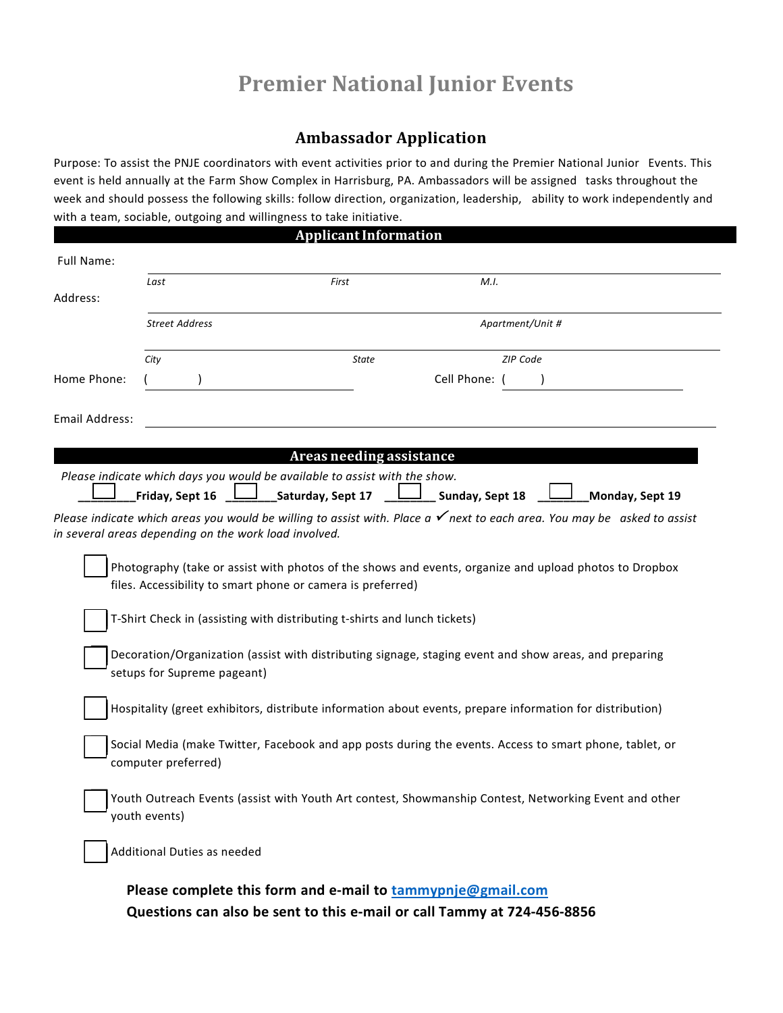## **Premier National Junior Events**

## **Ambassador Application**

Purpose: To assist the PNJE coordinators with event activities prior to and during the Premier National Junior Events. This event is held annually at the Farm Show Complex in Harrisburg, PA. Ambassadors will be assigned tasks throughout the week and should possess the following skills: follow direction, organization, leadership, ability to work independently and with a team, sociable, outgoing and willingness to take initiative.

| <b>Applicant Information</b> |                                                       |                                                                                                           |                                                 |                                                                                                                                     |
|------------------------------|-------------------------------------------------------|-----------------------------------------------------------------------------------------------------------|-------------------------------------------------|-------------------------------------------------------------------------------------------------------------------------------------|
| Full Name:                   |                                                       |                                                                                                           |                                                 |                                                                                                                                     |
| Address:                     | Last                                                  | First                                                                                                     | M.I.                                            |                                                                                                                                     |
|                              | <b>Street Address</b>                                 |                                                                                                           | Apartment/Unit #                                |                                                                                                                                     |
|                              |                                                       |                                                                                                           |                                                 |                                                                                                                                     |
| Home Phone:                  | City                                                  | State                                                                                                     | <b>ZIP Code</b><br>Cell Phone: (                |                                                                                                                                     |
|                              |                                                       |                                                                                                           |                                                 |                                                                                                                                     |
| Email Address:               |                                                       |                                                                                                           |                                                 |                                                                                                                                     |
|                              |                                                       | Areas needing assistance                                                                                  |                                                 |                                                                                                                                     |
|                              |                                                       | Please indicate which days you would be available to assist with the show.                                |                                                 |                                                                                                                                     |
|                              | Friday, Sept 16                                       | Saturday, Sept 17                                                                                         | $\underline{\rule{0pt}{1.5ex}}$ Sunday, Sept 18 | Monday, Sept 19                                                                                                                     |
|                              | in several areas depending on the work load involved. |                                                                                                           |                                                 | Please indicate which areas you would be willing to assist with. Place a $\checkmark$ next to each area. You may be asked to assist |
|                              |                                                       |                                                                                                           |                                                 |                                                                                                                                     |
|                              |                                                       | files. Accessibility to smart phone or camera is preferred)                                               |                                                 | Photography (take or assist with photos of the shows and events, organize and upload photos to Dropbox                              |
|                              |                                                       |                                                                                                           |                                                 |                                                                                                                                     |
|                              |                                                       | T-Shirt Check in (assisting with distributing t-shirts and lunch tickets)                                 |                                                 |                                                                                                                                     |
|                              | setups for Supreme pageant)                           | Decoration/Organization (assist with distributing signage, staging event and show areas, and preparing    |                                                 |                                                                                                                                     |
|                              |                                                       | Hospitality (greet exhibitors, distribute information about events, prepare information for distribution) |                                                 |                                                                                                                                     |
|                              | computer preferred)                                   |                                                                                                           |                                                 | Social Media (make Twitter, Facebook and app posts during the events. Access to smart phone, tablet, or                             |
|                              | youth events)                                         |                                                                                                           |                                                 | Youth Outreach Events (assist with Youth Art contest, Showmanship Contest, Networking Event and other                               |
|                              | Additional Duties as needed                           |                                                                                                           |                                                 |                                                                                                                                     |
|                              |                                                       | Please complete this form and e-mail to tammypnje@gmail.com                                               |                                                 |                                                                                                                                     |
|                              |                                                       |                                                                                                           |                                                 |                                                                                                                                     |

**Questions can also be sent to this e‐mail or call Tammy at 724-456-8856**